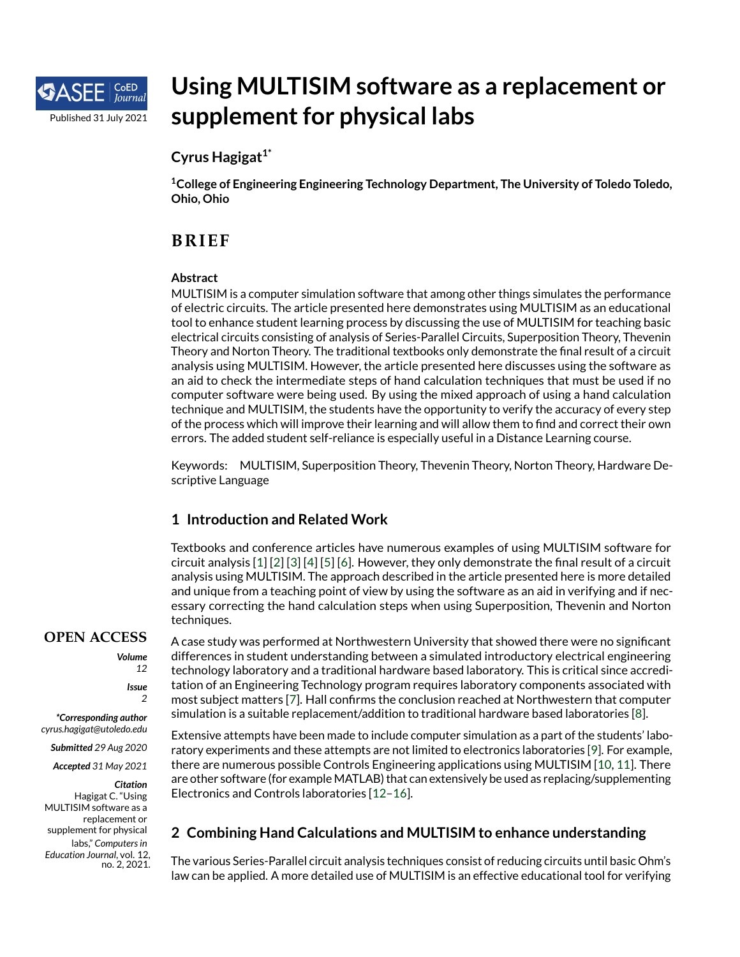

# **Using MULTISIM software as a replacement or supplement for physical labs**

## **Cyrus Hagigat1\***

**<sup>1</sup>College of Engineering Engineering Technology Department, The University of Toledo Toledo, Ohio, Ohio**

# **BR IEF**

#### **Abstract**

MULTISIM is a computer simulation software that among other things simulates the performance of electric circuits. The article presented here demonstrates using MULTISIM as an educational tool to enhance student learning process by discussing the use of MULTISIM for teaching basic electrical circuits consisting of analysis of Series-Parallel Circuits, Superposition Theory, Thevenin Theory and Norton Theory. The traditional textbooks only demonstrate the final result of a circuit analysis using MULTISIM. However, the article presented here discusses using the software as an aid to check the intermediate steps of hand calculation techniques that must be used if no computer software were being used. By using the mixed approach of using a hand calculation technique and MULTISIM, the students have the opportunity to verify the accuracy of every step of the process which will improve their learning and will allow them to find and correct their own errors. The added student self-reliance is especially useful in a Distance Learning course.

Keywords: MULTISIM, Superposition Theory, Thevenin Theory, Norton Theory, Hardware Descriptive Language

## **1 Introduction and Related Work**

Textbooks and conference articles have numerous examples of using MULTISIM software for circuit analysis [\[1\]](#page-5-0) [\[2\]](#page-6-0) [\[3\]](#page-6-1) [\[4\]](#page-6-2) [\[5\]](#page-6-3) [\[6\]](#page-6-4). However, they only demonstrate the final result of a circuit analysis using MULTISIM. The approach described in the article presented here is more detailed and unique from a teaching point of view by using the software as an aid in verifying and if necessary correcting the hand calculation steps when using Superposition, Thevenin and Norton techniques.

## **OPEN ACCESS**

*Volume*

*12*

*Issue 2*

*\*Corresponding author cyrus.hagigat@utoledo.edu*

*Submitted 29 Aug 2020*

*Accepted 31 May 2021*

*Citation*

Hagigat C. "Using MULTISIM software as a replacement or supplement for physical labs," *Computersin Education Journal*, vol. 12, no. 2, 2021.

A case study was performed at Northwestern University that showed there were no significant differences in student understanding between a simulated introductory electrical engineering technology laboratory and a traditional hardware based laboratory. This is critical since accreditation of an Engineering Technology program requires laboratory components associated with most subject matters [\[7\]](#page-6-5). Hall confirms the conclusion reached at Northwestern that computer simulation is a suitable replacement/addition to traditional hardware based laboratories [\[8\]](#page-6-6).

Extensive attempts have been made to include computer simulation as a part of the students' laboratory experiments and these attempts are not limited to electronics laboratories [\[9\]](#page-6-7). For example, there are numerous possible Controls Engineering applications using MULTISIM [\[10,](#page-6-8) [11\]](#page-6-9). There are other software (for example MATLAB) that can extensively be used as replacing/supplementing Electronics and Controls laboratories [\[12–](#page-6-10)[16\]](#page-6-11).

## **2 Combining Hand Calculations and MULTISIM to enhance understanding**

The various Series-Parallel circuit analysis techniques consist of reducing circuits until basic Ohm's law can be applied. A more detailed use of MULTISIM is an effective educational tool for verifying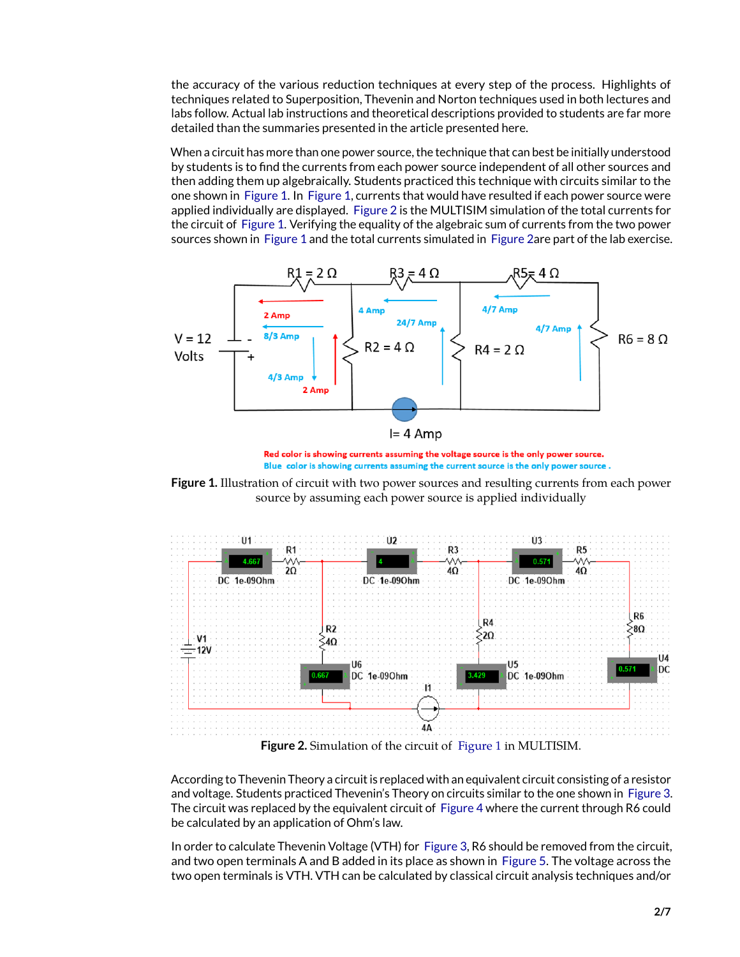the accuracy of the various reduction techniques at every step of the process. Highlights of techniques related to Superposition, Thevenin and Norton techniques used in both lectures and labs follow. Actual lab instructions and theoretical descriptions provided to students are far more detailed than the summaries presented in the article presented here.

When a circuit has more than one power source, the technique that can best be initially understood by students is to find the currents from each power source independent of all other sources and then adding them up algebraically. Students practiced this technique with circuits similar to the one shown in [Figure 1.](#page-1-0) In [Figure 1,](#page-1-0) currents that would have resulted if each power source were applied individually are displayed. [Figure 2](#page-1-1) is the MULTISIM simulation of the total currents for the circuit of [Figure 1.](#page-1-0) Verifying the equality of the algebraic sum of currents from the two power sources shown in [Figure 1](#page-1-0) and the total currents simulated in [Figure 2a](#page-1-1)re part of the lab exercise.



<span id="page-1-0"></span>Red color is showing currents assuming the voltage source is the only power source. Blue color is showing currents assuming the current source is the only power source.

**Figure 1.** Illustration of circuit with two power sources and resulting currents from each power source by assuming each power source is applied individually



<span id="page-1-1"></span>**Figure 2.** Simulation of the circuit of [Figure 1](#page-1-0) in MULTISIM.

According to Thevenin Theory a circuit is replaced with an equivalent circuit consisting of a resistor and voltage. Students practiced Thevenin's Theory on circuits similar to the one shown in [Figure 3.](#page-2-0) The circuit was replaced by the equivalent circuit of [Figure 4](#page-2-1) where the current through R6 could be calculated by an application of Ohm's law.

In order to calculate Thevenin Voltage (VTH) for [Figure 3,](#page-2-0) R6 should be removed from the circuit, and two open terminals A and B added in its place as shown in [Figure 5.](#page-3-0) The voltage across the two open terminals is VTH. VTH can be calculated by classical circuit analysis techniques and/or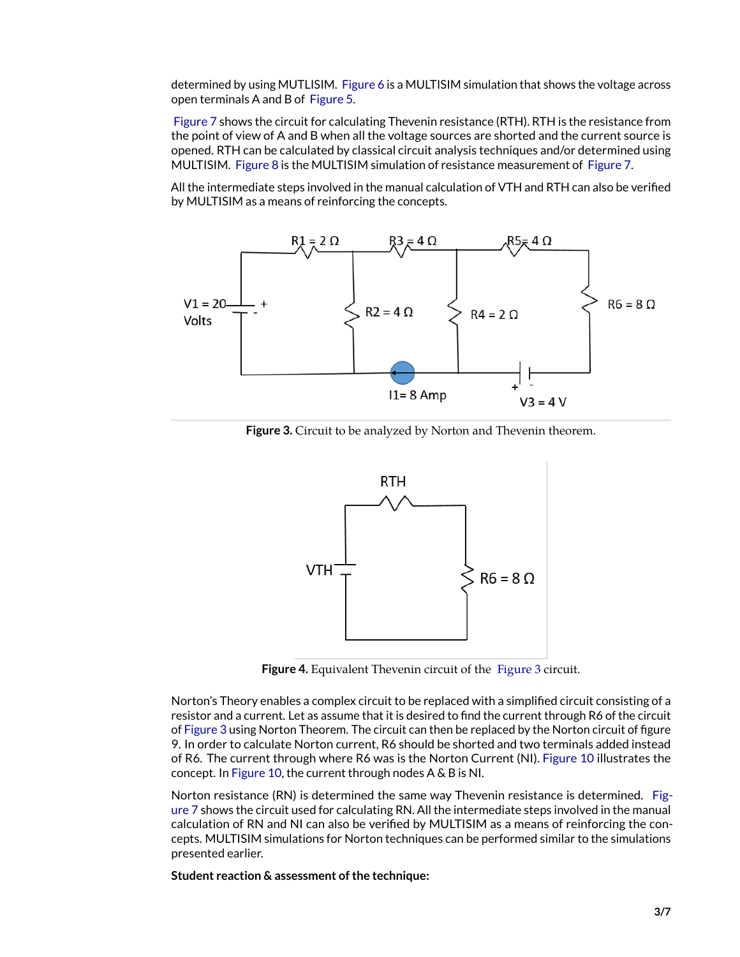determined by using MUTLISIM. [Figure 6](#page-3-1) is a MULTISIM simulation that shows the voltage across open terminals A and B of [Figure 5.](#page-3-0)

[Figure 7](#page-4-0) shows the circuit for calculating Thevenin resistance (RTH). RTH is the resistance from the point of view of A and B when all the voltage sources are shorted and the current source is opened. RTH can be calculated by classical circuit analysis techniques and/or determined using MULTISIM. [Figure 8](#page-4-1) is the MULTISIM simulation of resistance measurement of [Figure 7.](#page-4-0)

All the intermediate steps involved in the manual calculation of VTH and RTH can also be verified by MULTISIM as a means of reinforcing the concepts.



**Figure 3.** Circuit to be analyzed by Norton and Thevenin theorem.

<span id="page-2-0"></span>

<span id="page-2-1"></span>**Figure 4.** Equivalent Thevenin circuit of the [Figure 3](#page-2-0) circuit.

Norton's Theory enables a complex circuit to be replaced with a simplified circuit consisting of a resistor and a current. Let as assume that it is desired to find the current through R6 of the circuit of [Figure 3](#page-2-0) using Norton Theorem. The circuit can then be replaced by the Norton circuit of figure 9. In order to calculate Norton current, R6 should be shorted and two terminals added instead of R6. The current through where R6 was is the Norton Current (NI). [Figure 10](#page-5-1) illustrates the concept. In [Figure 10,](#page-5-1) the current through nodes A & B is NI.

Norton resistance (RN) is determined the same way Thevenin resistance is determined. [Fig](#page-4-0)[ure 7](#page-4-0) shows the circuit used for calculating RN. All the intermediate steps involved in the manual calculation of RN and NI can also be verified by MULTISIM as a means of reinforcing the concepts. MULTISIM simulations for Norton techniques can be performed similar to the simulations presented earlier.

**Student reaction & assessment of the technique:**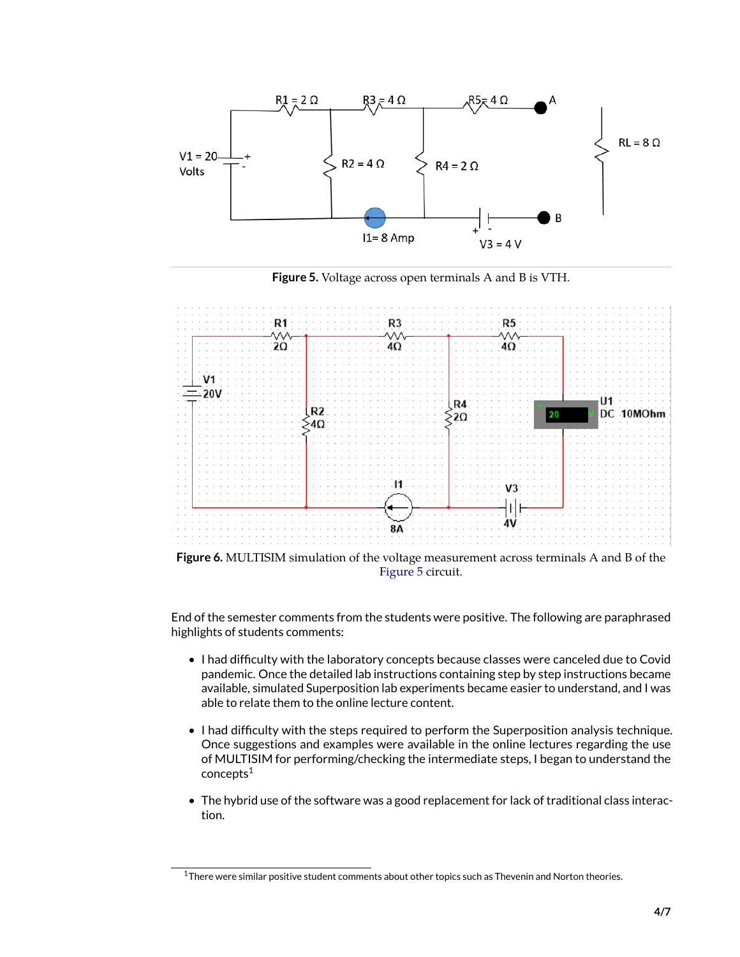

<span id="page-3-0"></span>**Figure 5.** Voltage across open terminals A and B is VTH.



[Figure 5](#page-3-0) circuit.

<span id="page-3-1"></span>End of the semester comments from the students were positive. The following are paraphrased highlights of students comments:

- I had difficulty with the laboratory concepts because classes were canceled due to Covid pandemic. Once the detailed lab instructions containing step by step instructions became available, simulated Superposition lab experiments became easier to understand, and I was able to relate them to the online lecture content.
- I had difficulty with the steps required to perform the Superposition analysis technique. Once suggestions and examples were available in the online lectures regarding the use of MULTISIM for performing/checking the intermediate steps, I began to understand the concepts<sup>[1](#page-3-2)</sup>
- The hybrid use of the software was a good replacement for lack of traditional class interaction.

<span id="page-3-2"></span> $1$ There were similar positive student comments about other topics such as Thevenin and Norton theories.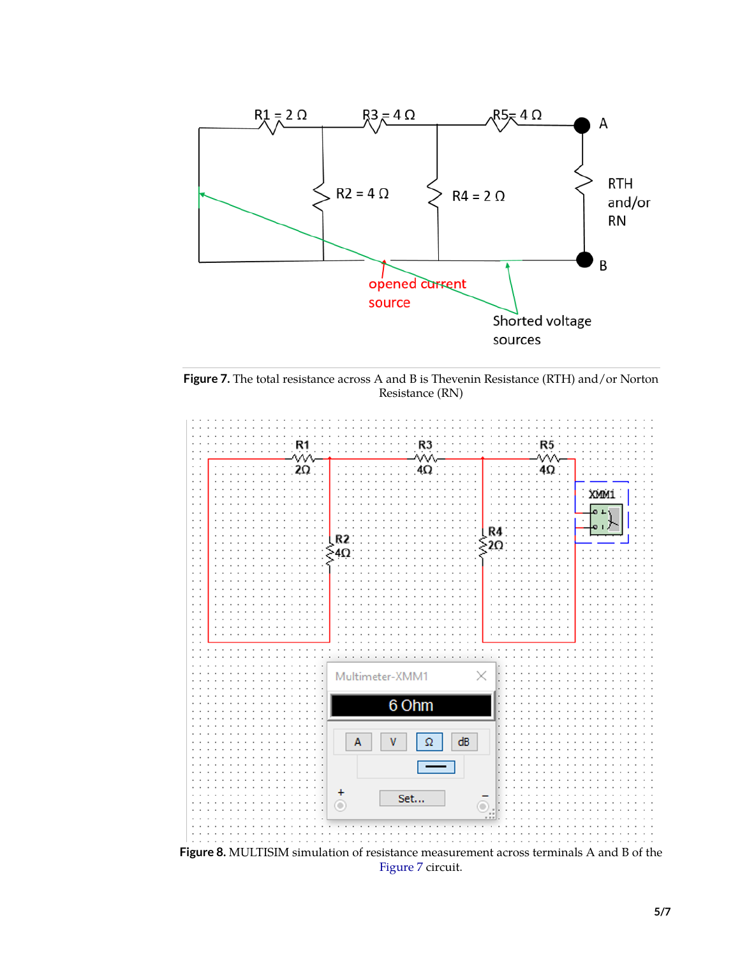

<span id="page-4-0"></span>**Figure 7.** The total resistance across A and B is Thevenin Resistance (RTH) and/or Norton Resistance (RN)



<span id="page-4-1"></span>[Figure 7](#page-4-0) circuit.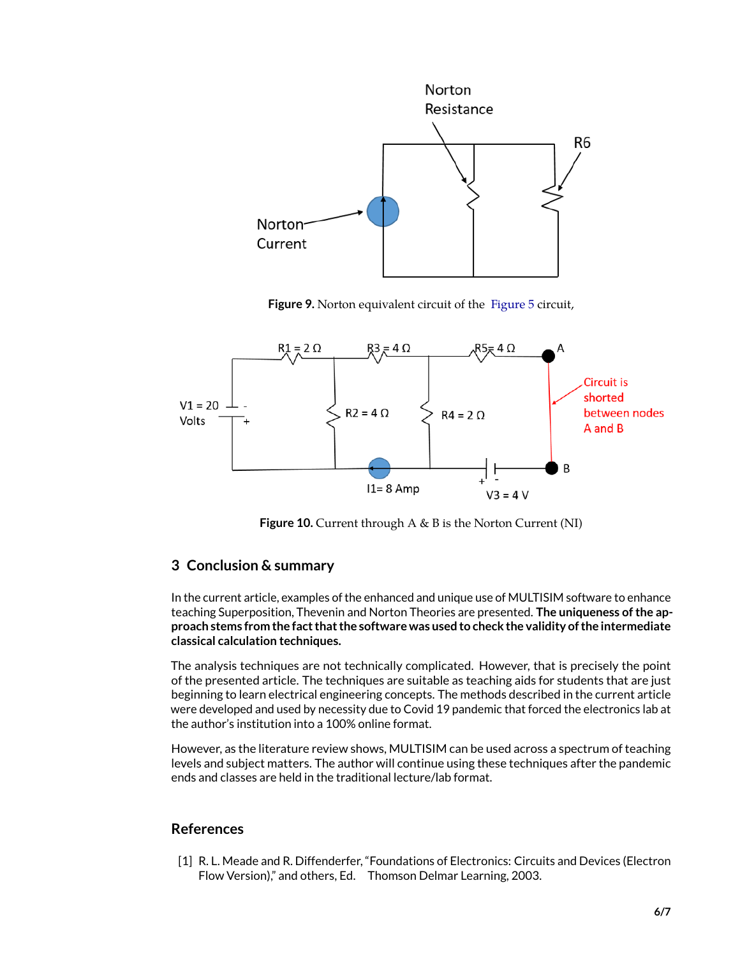

Figure 9. Norton equivalent circuit of the [Figure 5](#page-3-0) circuit,



<span id="page-5-1"></span>**Figure 10.** Current through A & B is the Norton Current (NI)

#### **3 Conclusion & summary**

In the current article, examples of the enhanced and unique use of MULTISIM software to enhance teaching Superposition, Thevenin and Norton Theories are presented. **The uniqueness of the approach stems from the fact that the software was used to check the validity of the intermediate classical calculation techniques.**

The analysis techniques are not technically complicated. However, that is precisely the point of the presented article. The techniques are suitable as teaching aids for students that are just beginning to learn electrical engineering concepts. The methods described in the current article were developed and used by necessity due to Covid 19 pandemic that forced the electronics lab at the author's institution into a 100% online format.

However, as the literature review shows, MULTISIM can be used across a spectrum of teaching levels and subject matters. The author will continue using these techniques after the pandemic ends and classes are held in the traditional lecture/lab format.

#### **References**

<span id="page-5-0"></span>[1] R. L. Meade and R. Diffenderfer, "Foundations of Electronics: Circuits and Devices (Electron Flow Version)," and others, Ed. Thomson Delmar Learning, 2003.